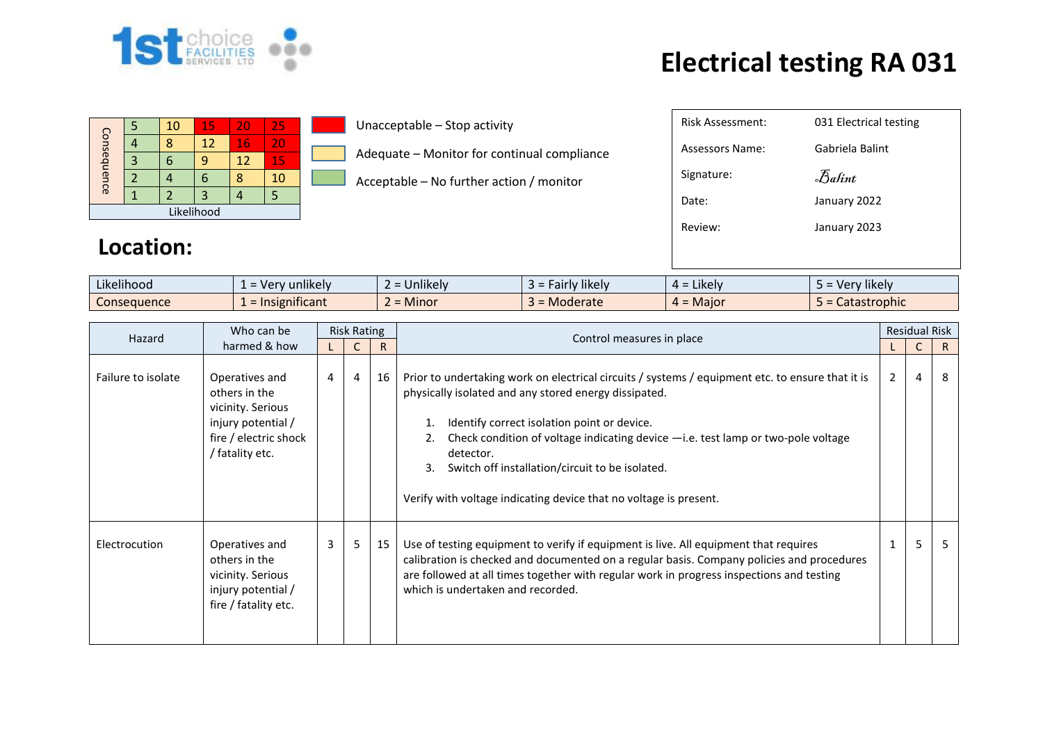

## **Electrical testing RA 031**

| Consequence |  | 10 | 15 | 20 | 25 |  |  |  |  |
|-------------|--|----|----|----|----|--|--|--|--|
|             |  | 8  | 12 | 16 | 20 |  |  |  |  |
|             |  |    | q  | 12 | 15 |  |  |  |  |
|             |  |    | n  |    | 10 |  |  |  |  |
|             |  |    | 3  |    |    |  |  |  |  |
| Likelihood  |  |    |    |    |    |  |  |  |  |

Unacceptable – Stop activity

Adequate – Monitor for continual compliance

Acceptable – No further action / monitor

| Risk Assessment: | 031 Electrical testing |
|------------------|------------------------|
| Assessors Name:  | Gabriela Balint        |
| Signature:       | Balint                 |
| Date:            | January 2022           |
| Review:          | January 2023           |
|                  |                        |
|                  |                        |

## **Location:**

| Likelihood  | unlikely<br>- Ver<br>$-$ | $\cdots$<br>Unlikely | $\cdots$<br>' likely l<br>$\sim$<br>all | $\cdot$ .<br><b>Likely</b> | $\cdots$<br>™likelv i<br><b>v</b> er<br>$-$ |
|-------------|--------------------------|----------------------|-----------------------------------------|----------------------------|---------------------------------------------|
| Consequence | .<br>mificant<br>יכו     | Minor                | Moderate                                | Maior<br>д.                | astrophic<br>calasti                        |

| Hazard             | Who can be                                                                                                             | <b>Risk Rating</b> |                |    | Control measures in place                                                                                                                                                                                                                                                                                                                                                                                                               |                | <b>Residual Risk</b> |              |
|--------------------|------------------------------------------------------------------------------------------------------------------------|--------------------|----------------|----|-----------------------------------------------------------------------------------------------------------------------------------------------------------------------------------------------------------------------------------------------------------------------------------------------------------------------------------------------------------------------------------------------------------------------------------------|----------------|----------------------|--------------|
| harmed & how       |                                                                                                                        |                    |                | R  |                                                                                                                                                                                                                                                                                                                                                                                                                                         |                | C                    | $\mathsf{R}$ |
| Failure to isolate | Operatives and<br>others in the<br>vicinity. Serious<br>injury potential /<br>fire / electric shock<br>/ fatality etc. | $\overline{4}$     | $\overline{4}$ | 16 | Prior to undertaking work on electrical circuits / systems / equipment etc. to ensure that it is<br>physically isolated and any stored energy dissipated.<br>Identify correct isolation point or device.<br>Check condition of voltage indicating device -i.e. test lamp or two-pole voltage<br>detector.<br>Switch off installation/circuit to be isolated.<br>3.<br>Verify with voltage indicating device that no voltage is present. | $\overline{2}$ | 4                    | -8           |
| Electrocution      | Operatives and<br>others in the<br>vicinity. Serious<br>injury potential /<br>fire / fatality etc.                     | 3                  | 5.             | 15 | Use of testing equipment to verify if equipment is live. All equipment that requires<br>calibration is checked and documented on a regular basis. Company policies and procedures<br>are followed at all times together with regular work in progress inspections and testing<br>which is undertaken and recorded.                                                                                                                      |                | 5                    | -5           |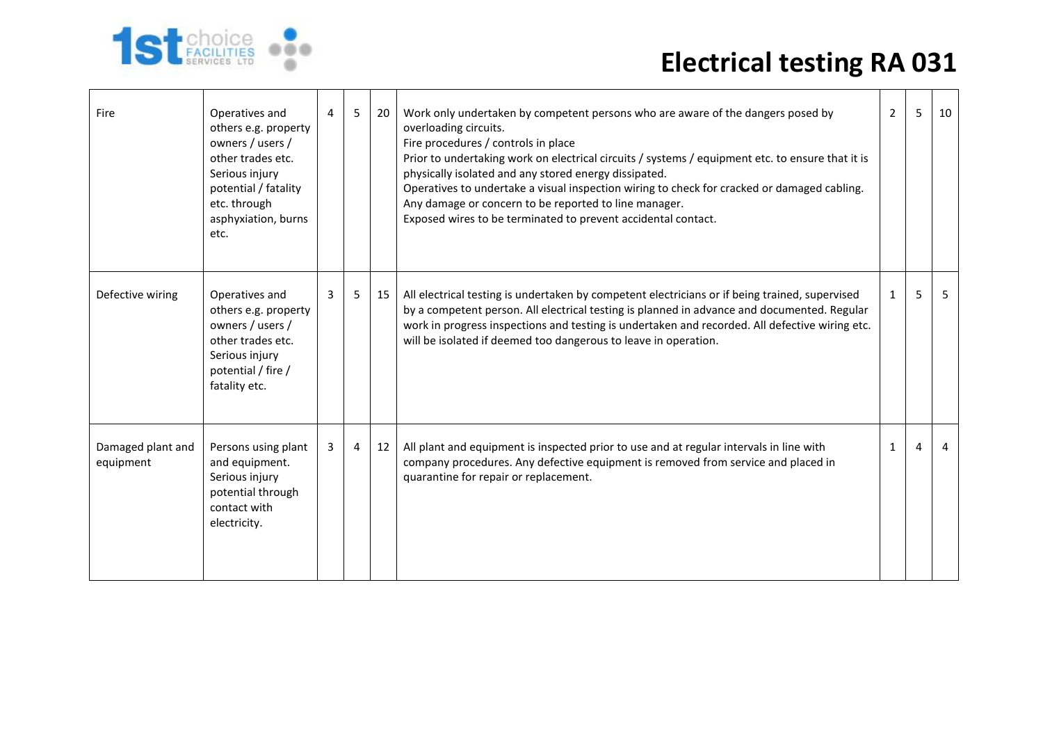## **Electrical testing RA 031**



| Fire                           | Operatives and<br>others e.g. property<br>owners / users /<br>other trades etc.<br>Serious injury<br>potential / fatality<br>etc. through<br>asphyxiation, burns<br>etc. | 4 | 5  | 20 | Work only undertaken by competent persons who are aware of the dangers posed by<br>overloading circuits.<br>Fire procedures / controls in place<br>Prior to undertaking work on electrical circuits / systems / equipment etc. to ensure that it is<br>physically isolated and any stored energy dissipated.<br>Operatives to undertake a visual inspection wiring to check for cracked or damaged cabling.<br>Any damage or concern to be reported to line manager.<br>Exposed wires to be terminated to prevent accidental contact. | $\overline{2}$ | 5 | 10 |
|--------------------------------|--------------------------------------------------------------------------------------------------------------------------------------------------------------------------|---|----|----|---------------------------------------------------------------------------------------------------------------------------------------------------------------------------------------------------------------------------------------------------------------------------------------------------------------------------------------------------------------------------------------------------------------------------------------------------------------------------------------------------------------------------------------|----------------|---|----|
| Defective wiring               | Operatives and<br>others e.g. property<br>owners / users /<br>other trades etc.<br>Serious injury<br>potential / fire /<br>fatality etc.                                 | 3 | 5. | 15 | All electrical testing is undertaken by competent electricians or if being trained, supervised<br>by a competent person. All electrical testing is planned in advance and documented. Regular<br>work in progress inspections and testing is undertaken and recorded. All defective wiring etc.<br>will be isolated if deemed too dangerous to leave in operation.                                                                                                                                                                    | $\mathbf{1}$   | 5 | 5  |
| Damaged plant and<br>equipment | Persons using plant<br>and equipment.<br>Serious injury<br>potential through<br>contact with<br>electricity.                                                             | 3 | 4  | 12 | All plant and equipment is inspected prior to use and at regular intervals in line with<br>company procedures. Any defective equipment is removed from service and placed in<br>quarantine for repair or replacement.                                                                                                                                                                                                                                                                                                                 | 1              | 4 | 4  |